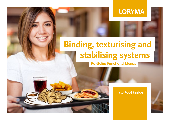# **LORYMA**

# **stabilising systems Binding, texturising and**

# **Portfolio: Functional blends**

## Take food further.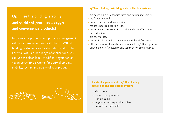# **Optimise the binding, stability and quality of your meat, veggie and convenience products!**

Improve your products and process management within your manufacturing with the Lory® Bind binding, texturising and stabilisation systems by Loryma. With a broad range of applications, you can use the clean label, modified, vegetarian or vegan Lory® Bind systems for optimal binding, stability, texture and quality of your products.



#### **∙** Vegetarian and vegan alternatives

**Fields of application of Lory® Bind binding, texturising and stabilisation systems**

**∙** Convenience products

**∙** Meat products **∙** Hybrid meat products

**∙** Fish products

#### **Lory®Bind binding, texturising and stabilisation systems ...**

- **∙** are based on highly sophisticated and natural ingredients.
- **∙** are flavour-neutral.
- **∙** improve texture and malleability.
- **∙** reduce undesired cooking loss.
- **∙** promise high process safety, quality and cost-effectiveness in production.
- **∙** are easy-to-use.
- **∙** are perfect in combination and use with Lory®Tex products.
- **∙** offer a choice of clean label and modified Lory® Bind systems.
- **∙** offer a choice of vegetarian and vegan Lory® Bind systems.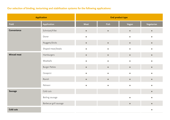### **Our selection of binding, texturising and stabilisation systems for the following applications:**

| <b>Application</b> |                        | <b>End product type</b> |           |           |            |
|--------------------|------------------------|-------------------------|-----------|-----------|------------|
| Field              | Application            | Meat                    | Fish      | Vegan     | Vegetarian |
| Convenience        | Schnitzel/Fillet       | $\bullet$               | $\bullet$ | $\bullet$ | $\bullet$  |
|                    | Doner                  | $\bullet$               |           | $\bullet$ | $\bullet$  |
|                    | Nuggets/Sticks         | $\bullet$               | $\bullet$ | $\bullet$ | $\bullet$  |
|                    | Shaped meat/Steaks     | $\bullet$               | $\bullet$ | $\bullet$ | $\bullet$  |
| Minced meat        | Hamburgers             | $\bullet$               | $\bullet$ | $\bullet$ | $\bullet$  |
|                    | Meatballs              |                         | $\bullet$ | $\bullet$ |            |
|                    | <b>Burger Patties</b>  | $\bullet$               | $\bullet$ | $\bullet$ | $\bullet$  |
|                    | Cevapcici              | $\bullet$               | $\bullet$ | ō         | ۵          |
|                    | Ravioli                | $\bullet$               | $\bullet$ | $\bullet$ | $\bullet$  |
|                    | Pelmeni                | $\bullet$               | $\bullet$ | $\bullet$ | $\bullet$  |
| <b>Sausage</b>     | Cold cuts              |                         |           |           | $\bullet$  |
|                    | Boiling sausage        |                         |           | $\bullet$ | $\bullet$  |
|                    | Barbecue grill sausage |                         |           | $\bullet$ | $\bullet$  |
| Cold cuts          |                        |                         |           |           | $\bullet$  |